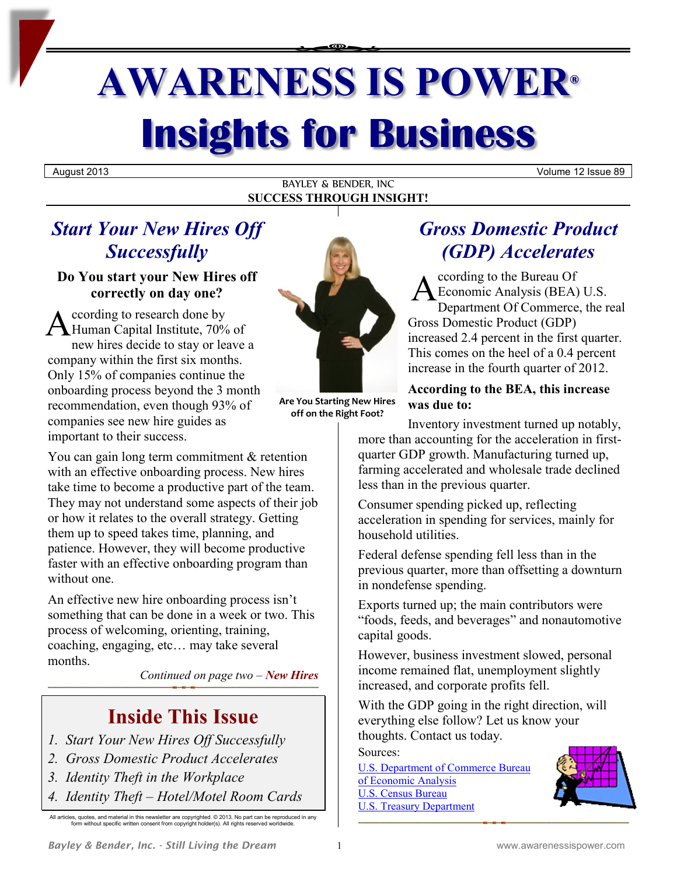# **AWARENESS IS POWER® Insights for Business**

August 2013 Volume 12 Issue 89

BAYLEY & BENDER, INC **SUCCESS THROUGH INSIGHT!**

### *Start Your New Hires Off Successfully*

**Do You start your New Hires off correctly on day one?**

ccording to research done by A ccording to research done by<br>
Human Capital Institute, 70% of new hires decide to stay or leave a company within the first six months. Only 15% of companies continue the onboarding process beyond the 3 month recommendation, even though 93% of companies see new hire guides as important to their success.

You can gain long term commitment & retention with an effective onboarding process. New hires take time to become a productive part of the team. They may not understand some aspects of their job or how it relates to the overall strategy. Getting them up to speed takes time, planning, and patience. However, they will become productive faster with an effective onboarding program than without one.

An effective new hire onboarding process isn't something that can be done in a week or two. This process of welcoming, orienting, training, coaching, engaging, etc… may take several months.

*Continued on page two – New Hires*

### **Inside This Issue**

- *1. Start Your New Hires Off Successfully*
- *2. Gross Domestic Product Accelerates*
- *3. Identity Theft in the Workplace*
- *4. Identity Theft – Hotel/Motel Room Cards*

All articles, quotes, and material in this newsletter are copyrighted. © 2013. No part can be reproduced in any form without specific written consent from copyright holder(s). All rights reserved worldwide.



**Are You Starting New Hires off on the Right Foot?**

### *Gross Domestic Product (GDP) Accelerates*

ccording to the Bureau Of Economic Analysis (BEA) U.S. Department Of Commerce, the real Gross Domestic Product (GDP) increased 2.4 percent in the first quarter. This comes on the heel of a 0.4 percent increase in the fourth quarter of 2012. A

**According to the BEA, this increase was due to:**

Inventory investment turned up notably, more than accounting for the acceleration in firstquarter GDP growth. Manufacturing turned up, farming accelerated and wholesale trade declined less than in the previous quarter.

Consumer spending picked up, reflecting acceleration in spending for services, mainly for household utilities.

Federal defense spending fell less than in the previous quarter, more than offsetting a downturn in nondefense spending.

Exports turned up; the main contributors were "foods, feeds, and beverages" and nonautomotive capital goods.

However, business investment slowed, personal income remained flat, unemployment slightly increased, and corporate profits fell.

With the GDP going in the right direction, will everything else follow? Let us know your thoughts. Contact us today.

Sources:

[U.S. Department of Commerce Bureau](https://www.bea.gov/newsreleases/glance.htm)  [of Economic Analysis](https://www.bea.gov/newsreleases/glance.htm) [U.S. Census Bureau](http://www.census.gov/cgi-bin/briefroom/BriefRm) [U.S. Treasury Department](http://www.treasury.gov/resource-center/data-chart-center/monitoring-the-economy/Documents/monthly%20ECONOMIC%20DATA%20TABLES.pdf)

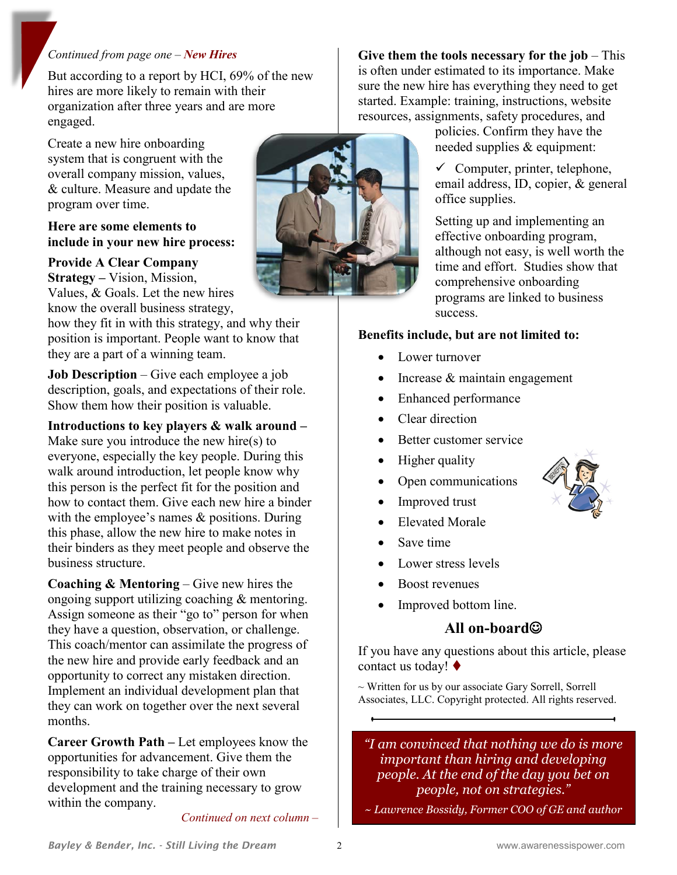#### *Continued from page one – New Hires*

But according to a report by HCI, 69% of the new hires are more likely to remain with their organization after three years and are more engaged.

Create a new hire onboarding system that is congruent with the overall company mission, values, & culture. Measure and update the program over time.

#### **Here are some elements to include in your new hire process:**

**Provide A Clear Company Strategy –** Vision, Mission, Values, & Goals. Let the new hires know the overall business strategy,

how they fit in with this strategy, and why their position is important. People want to know that they are a part of a winning team.

**Job Description** – Give each employee a job description, goals, and expectations of their role. Show them how their position is valuable.

#### **Introductions to key players & walk around –**

Make sure you introduce the new hire(s) to everyone, especially the key people. During this walk around introduction, let people know why this person is the perfect fit for the position and how to contact them. Give each new hire a binder with the employee's names & positions. During this phase, allow the new hire to make notes in their binders as they meet people and observe the business structure.

**Coaching & Mentoring** – Give new hires the ongoing support utilizing coaching & mentoring. Assign someone as their "go to" person for when they have a question, observation, or challenge. This coach/mentor can assimilate the progress of the new hire and provide early feedback and an opportunity to correct any mistaken direction. Implement an individual development plan that they can work on together over the next several months.

**Career Growth Path –** Let employees know the opportunities for advancement. Give them the responsibility to take charge of their own development and the training necessary to grow within the company.

*Continued on next column –*



**Give them the tools necessary for the job** – This is often under estimated to its importance. Make sure the new hire has everything they need to get started. Example: training, instructions, website resources, assignments, safety procedures, and

> policies. Confirm they have the needed supplies & equipment:

 $\checkmark$  Computer, printer, telephone, email address, ID, copier, & general office supplies.

Setting up and implementing an effective onboarding program, although not easy, is well worth the time and effort. Studies show that comprehensive onboarding programs are linked to business success.

#### **Benefits include, but are not limited to:**

- Lower turnover
- Increase  $&$  maintain engagement
- Enhanced performance
- Clear direction
- Better customer service
- Higher quality
- Open communications
- Improved trust
- Elevated Morale
- Save time
- Lower stress levels
- Boost revenues
- Improved bottom line.

### All on-board<sup>©</sup>

If you have any questions about this article, please contact us today!

~ Written for us by our associate Gary Sorrell, Sorrell Associates, LLC. Copyright protected. All rights reserved.

*"I am convinced that nothing we do is more important than hiring and developing people. At the end of the day you bet on people, not on strategies."*

~ *Lawrence Bossidy, Former COO of GE and author*

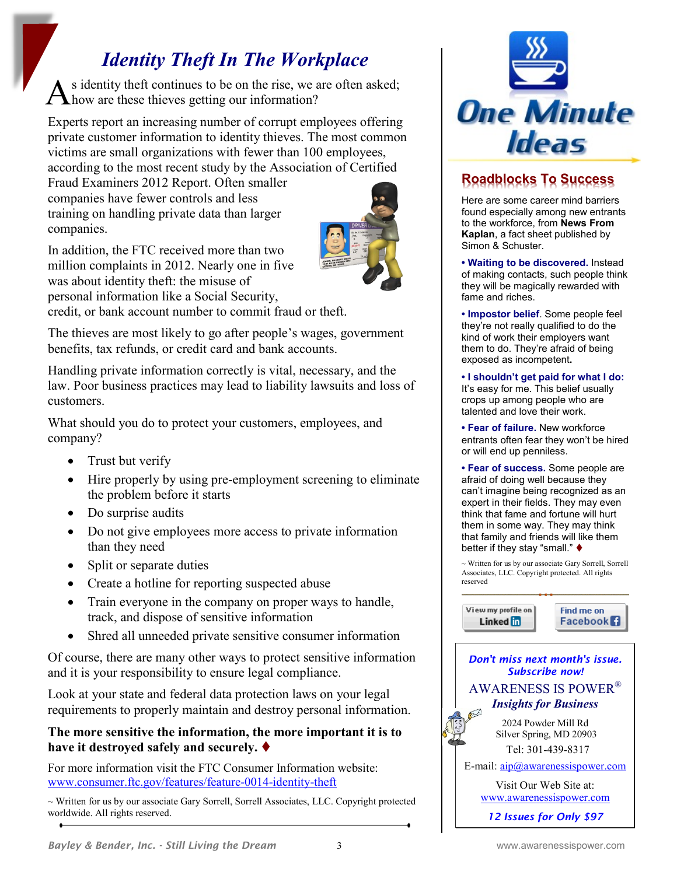## *Identity Theft In The Workplace*

s identity theft continues to be on the rise, we are often asked;  $A<sup>s</sup>$  identity theft continues to be on the rise, we a know are these thieves getting our information?

Experts report an increasing number of corrupt employees offering private customer information to identity thieves. The most common victims are small organizations with fewer than 100 employees, according to the most recent study by the Association of Certified

Fraud Examiners 2012 Report. Often smaller companies have fewer controls and less training on handling private data than larger companies.



In addition, the FTC received more than two million complaints in 2012. Nearly one in five was about identity theft: the misuse of personal information like a Social Security, credit, or bank account number to commit fraud or theft.

The thieves are most likely to go after people's wages, government benefits, tax refunds, or credit card and bank accounts.

Handling private information correctly is vital, necessary, and the law. Poor business practices may lead to liability lawsuits and loss of customers.

What should you do to protect your customers, employees, and company?

- $\bullet$  Trust but verify
- Hire properly by using pre-employment screening to eliminate the problem before it starts
- Do surprise audits
- Do not give employees more access to private information than they need
- Split or separate duties
- Create a hotline for reporting suspected abuse
- Train everyone in the company on proper ways to handle, track, and dispose of sensitive information
- Shred all unneeded private sensitive consumer information

Of course, there are many other ways to protect sensitive information and it is your responsibility to ensure legal compliance.

Look at your state and federal data protection laws on your legal requirements to properly maintain and destroy personal information.

### **The more sensitive the information, the more important it is to have it destroyed safely and securely.**

For more information visit the FTC Consumer Information website: [www.consumer.ftc.gov/features/feature-0014-identity-theft](http://www.consumer.ftc.gov/features/feature-0014-identity-theft)

~ Written for us by our associate Gary Sorrell, Sorrell Associates, LLC. Copyright protected worldwide. All rights reserved.



### **Roadblocks To Success**

Here are some career mind barriers found especially among new entrants to the workforce, from **News From Kaplan**, a fact sheet published by Simon & Schuster.

**• Waiting to be discovered.** Instead of making contacts, such people think they will be magically rewarded with fame and riches.

**• Impostor belief**. Some people feel they're not really qualified to do the kind of work their employers want them to do. They're afraid of being exposed as incompetent**.** 

**• I shouldn't get paid for what I do:** It's easy for me. This belief usually crops up among people who are talented and love their work.

**• Fear of failure.** New workforce entrants often fear they won't be hired or will end up penniless.

**• Fear of success.** Some people are afraid of doing well because they can't imagine being recognized as an expert in their fields. They may even think that fame and fortune will hurt them in some way. They may think that family and friends will like them better if they stay "small."  $\blacklozenge$ 

~ Written for us by our associate Gary Sorrell, Sorrell Associates, LLC. Copyright protected. All rights reserved

View my profile on Find me on Linked in **Facebook** *Don't miss next month's issue. Subscribe now!* AWARENESS IS POWER® *Insights for Business* 2024 Powder Mill Rd Silver Spring, MD 20903 Tel: 301-439-8317 E-mail:  $aip@awarenessispower.com$ Visit Our Web Site at: [www.awarenessispower.com](http://www.awarenessispower.com/)

*12 Issues for Only \$97*